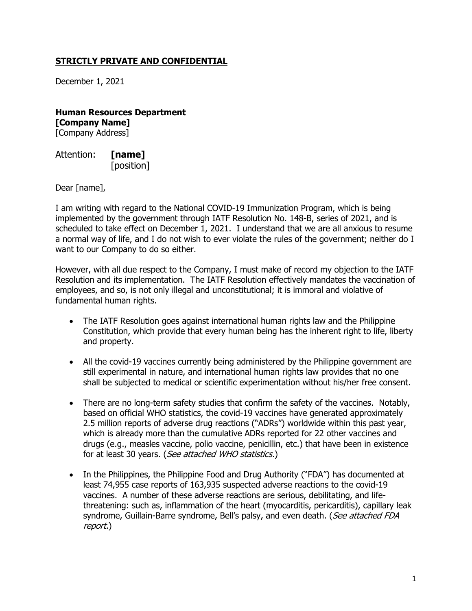## **STRICTLY PRIVATE AND CONFIDENTIAL**

December 1, 2021

**Human Resources Department [Company Name]** [Company Address]

Attention: **[name]** [position]

Dear [name],

I am writing with regard to the National COVID-19 Immunization Program, which is being implemented by the government through IATF Resolution No. 148-B, series of 2021, and is scheduled to take effect on December 1, 2021. I understand that we are all anxious to resume a normal way of life, and I do not wish to ever violate the rules of the government; neither do I want to our Company to do so either.

However, with all due respect to the Company, I must make of record my objection to the IATF Resolution and its implementation. The IATF Resolution effectively mandates the vaccination of employees, and so, is not only illegal and unconstitutional; it is immoral and violative of fundamental human rights.

- The IATF Resolution goes against international human rights law and the Philippine Constitution, which provide that every human being has the inherent right to life, liberty and property.
- All the covid-19 vaccines currently being administered by the Philippine government are still experimental in nature, and international human rights law provides that no one shall be subjected to medical or scientific experimentation without his/her free consent.
- There are no long-term safety studies that confirm the safety of the vaccines. Notably, based on official WHO statistics, the covid-19 vaccines have generated approximately 2.5 million reports of adverse drug reactions ("ADRs") worldwide within this past year, which is already more than the cumulative ADRs reported for 22 other vaccines and drugs (e.g., measles vaccine, polio vaccine, penicillin, etc.) that have been in existence for at least 30 years. (See attached WHO statistics.)
- In the Philippines, the Philippine Food and Drug Authority ("FDA") has documented at least 74,955 case reports of 163,935 suspected adverse reactions to the covid-19 vaccines. A number of these adverse reactions are serious, debilitating, and lifethreatening: such as, inflammation of the heart (myocarditis, pericarditis), capillary leak syndrome, Guillain-Barre syndrome, Bell's palsy, and even death. (See attached FDA report.)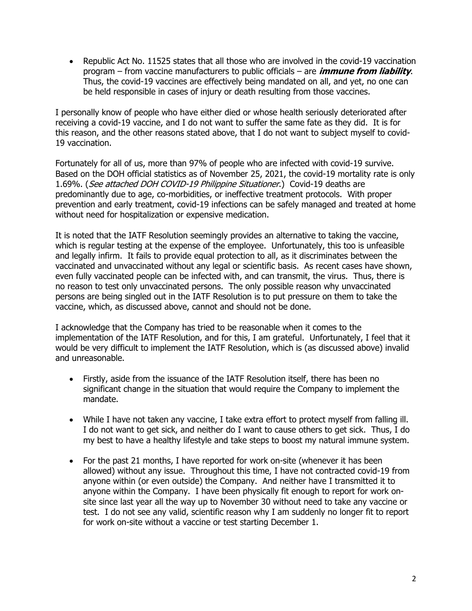• Republic Act No. 11525 states that all those who are involved in the covid-19 vaccination program – from vaccine manufacturers to public officials – are **immune from liability**. Thus, the covid-19 vaccines are effectively being mandated on all, and yet, no one can be held responsible in cases of injury or death resulting from those vaccines.

I personally know of people who have either died or whose health seriously deteriorated after receiving a covid-19 vaccine, and I do not want to suffer the same fate as they did. It is for this reason, and the other reasons stated above, that I do not want to subject myself to covid-19 vaccination.

Fortunately for all of us, more than 97% of people who are infected with covid-19 survive. Based on the DOH official statistics as of November 25, 2021, the covid-19 mortality rate is only 1.69%. (See attached DOH COVID-19 Philippine Situationer.) Covid-19 deaths are predominantly due to age, co-morbidities, or ineffective treatment protocols. With proper prevention and early treatment, covid-19 infections can be safely managed and treated at home without need for hospitalization or expensive medication.

It is noted that the IATF Resolution seemingly provides an alternative to taking the vaccine, which is regular testing at the expense of the employee. Unfortunately, this too is unfeasible and legally infirm. It fails to provide equal protection to all, as it discriminates between the vaccinated and unvaccinated without any legal or scientific basis. As recent cases have shown, even fully vaccinated people can be infected with, and can transmit, the virus. Thus, there is no reason to test only unvaccinated persons. The only possible reason why unvaccinated persons are being singled out in the IATF Resolution is to put pressure on them to take the vaccine, which, as discussed above, cannot and should not be done.

I acknowledge that the Company has tried to be reasonable when it comes to the implementation of the IATF Resolution, and for this, I am grateful. Unfortunately, I feel that it would be very difficult to implement the IATF Resolution, which is (as discussed above) invalid and unreasonable.

- Firstly, aside from the issuance of the IATF Resolution itself, there has been no significant change in the situation that would require the Company to implement the mandate.
- While I have not taken any vaccine, I take extra effort to protect myself from falling ill. I do not want to get sick, and neither do I want to cause others to get sick. Thus, I do my best to have a healthy lifestyle and take steps to boost my natural immune system.
- For the past 21 months, I have reported for work on-site (whenever it has been allowed) without any issue. Throughout this time, I have not contracted covid-19 from anyone within (or even outside) the Company. And neither have I transmitted it to anyone within the Company. I have been physically fit enough to report for work onsite since last year all the way up to November 30 without need to take any vaccine or test. I do not see any valid, scientific reason why I am suddenly no longer fit to report for work on-site without a vaccine or test starting December 1.